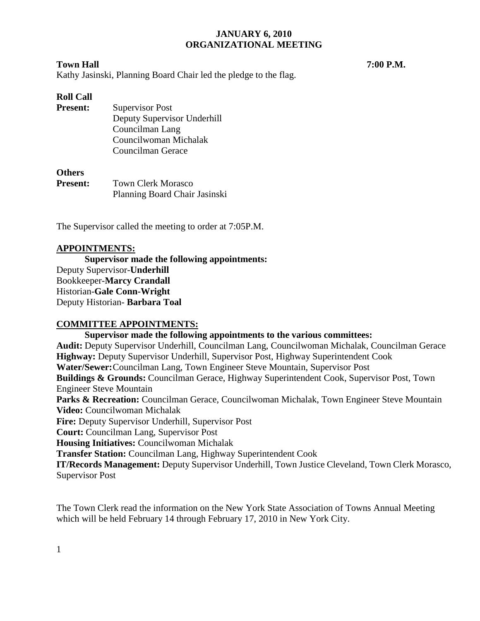#### **Town Hall 7:00 P.M.**

Kathy Jasinski, Planning Board Chair led the pledge to the flag.

## **Roll Call**

**Present:** Supervisor Post Deputy Supervisor Underhill Councilman Lang Councilwoman Michalak Councilman Gerace

#### **Others**

**Present:** Town Clerk Morasco Planning Board Chair Jasinski

The Supervisor called the meeting to order at 7:05P.M.

## **APPOINTMENTS:**

**Supervisor made the following appointments:**  Deputy Supervisor-**Underhill**  Bookkeeper-**Marcy Crandall**  Historian-**Gale Conn-Wright**  Deputy Historian- **Barbara Toal** 

## **COMMITTEE APPOINTMENTS:**

**Supervisor made the following appointments to the various committees: Audit:** Deputy Supervisor Underhill, Councilman Lang, Councilwoman Michalak, Councilman Gerace **Highway:** Deputy Supervisor Underhill, Supervisor Post, Highway Superintendent Cook **Water/Sewer:** Councilman Lang, Town Engineer Steve Mountain, Supervisor Post **Buildings & Grounds:** Councilman Gerace, Highway Superintendent Cook, Supervisor Post, Town Engineer Steve Mountain **Parks & Recreation:** Councilman Gerace, Councilwoman Michalak, Town Engineer Steve Mountain **Video:** Councilwoman Michalak **Fire:** Deputy Supervisor Underhill, Supervisor Post **Court:** Councilman Lang, Supervisor Post **Housing Initiatives:** Councilwoman Michalak **Transfer Station:** Councilman Lang, Highway Superintendent Cook **IT/Records Management:** Deputy Supervisor Underhill, Town Justice Cleveland, Town Clerk Morasco, Supervisor Post

The Town Clerk read the information on the New York State Association of Towns Annual Meeting which will be held February 14 through February 17, 2010 in New York City.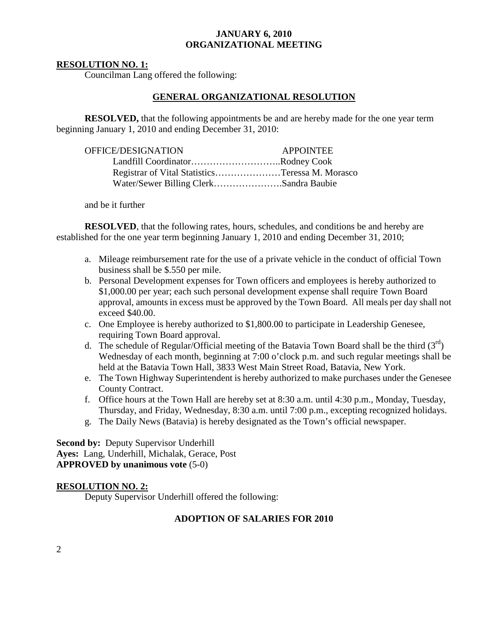## **RESOLUTION NO. 1:**

Councilman Lang offered the following:

## **GENERAL ORGANIZATIONAL RESOLUTION**

**RESOLVED,** that the following appointments be and are hereby made for the one year term beginning January 1, 2010 and ending December 31, 2010:

| OFFICE/DESIGNATION                     | <b>APPOINTEE</b>                                |
|----------------------------------------|-------------------------------------------------|
| Landfill CoordinatorRodney Cook        |                                                 |
|                                        | Registrar of Vital StatisticsTeressa M. Morasco |
| Water/Sewer Billing ClerkSandra Baubie |                                                 |

and be it further

**RESOLVED**, that the following rates, hours, schedules, and conditions be and hereby are established for the one year term beginning January 1, 2010 and ending December 31, 2010;

- a. Mileage reimbursement rate for the use of a private vehicle in the conduct of official Town business shall be \$.550 per mile.
- b. Personal Development expenses for Town officers and employees is hereby authorized to \$1,000.00 per year; each such personal development expense shall require Town Board approval, amounts in excess must be approved by the Town Board. All meals per day shall not exceed \$40.00.
- c. One Employee is hereby authorized to \$1,800.00 to participate in Leadership Genesee, requiring Town Board approval.
- d. The schedule of Regular/Official meeting of the Batavia Town Board shall be the third  $(3<sup>rd</sup>)$ Wednesday of each month, beginning at 7:00 o'clock p.m. and such regular meetings shall be held at the Batavia Town Hall, 3833 West Main Street Road, Batavia, New York.
- e. The Town Highway Superintendent is hereby authorized to make purchases under the Genesee County Contract.
- f. Office hours at the Town Hall are hereby set at 8:30 a.m. until 4:30 p.m., Monday, Tuesday, Thursday, and Friday, Wednesday, 8:30 a.m. until 7:00 p.m., excepting recognized holidays.
- g. The Daily News (Batavia) is hereby designated as the Town's official newspaper.

**Second by:** Deputy Supervisor Underhill **Ayes:** Lang, Underhill, Michalak, Gerace, Post **APPROVED by unanimous vote** (5-0)

## **RESOLUTION NO. 2:**

Deputy Supervisor Underhill offered the following:

## **ADOPTION OF SALARIES FOR 2010**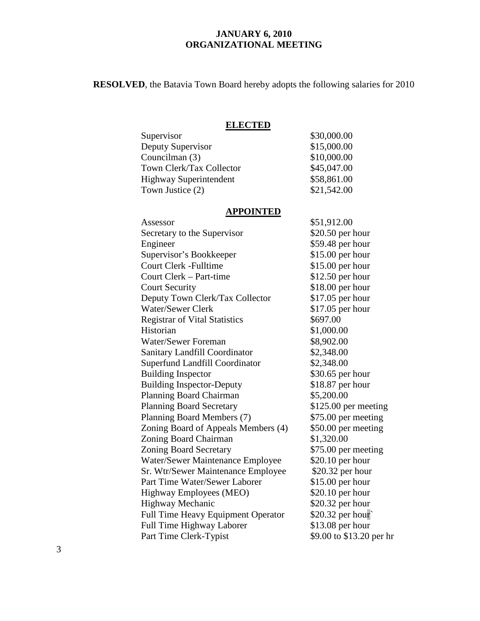**RESOLVED**, the Batavia Town Board hereby adopts the following salaries for 2010

## **ELECTED**

| <b>ELECTED</b>                |             |
|-------------------------------|-------------|
| Supervisor                    | \$30,000.00 |
| Deputy Supervisor             | \$15,000.00 |
| Councilman (3)                | \$10,000.00 |
| Town Clerk/Tax Collector      | \$45,047.00 |
| <b>Highway Superintendent</b> | \$58,861.00 |
| Town Justice (2)              | \$21,542.00 |

#### **APPOINTED**

| Assessor                                  | \$51,912.00              |
|-------------------------------------------|--------------------------|
| Secretary to the Supervisor               | $$20.50$ per hour        |
| Engineer                                  | \$59.48 per hour         |
| Supervisor's Bookkeeper                   | $$15.00$ per hour        |
| <b>Court Clerk - Fulltime</b>             | $$15.00$ per hour        |
| Court Clerk – Part-time                   | $$12.50$ per hour        |
| <b>Court Security</b>                     | \$18.00 per hour         |
| Deputy Town Clerk/Tax Collector           | $$17.05$ per hour        |
| <b>Water/Sewer Clerk</b>                  | $$17.05$ per hour        |
| <b>Registrar of Vital Statistics</b>      | \$697.00                 |
| Historian                                 | \$1,000.00               |
| Water/Sewer Foreman                       | \$8,902.00               |
| <b>Sanitary Landfill Coordinator</b>      | \$2,348.00               |
| <b>Superfund Landfill Coordinator</b>     | \$2,348.00               |
| <b>Building Inspector</b>                 | \$30.65 per hour         |
| <b>Building Inspector-Deputy</b>          | $$18.87$ per hour        |
| Planning Board Chairman                   | \$5,200.00               |
| <b>Planning Board Secretary</b>           | \$125.00 per meeting     |
| Planning Board Members (7)                | \$75.00 per meeting      |
| Zoning Board of Appeals Members (4)       | \$50.00 per meeting      |
| Zoning Board Chairman                     | \$1,320.00               |
| <b>Zoning Board Secretary</b>             | \$75.00 per meeting      |
| Water/Sewer Maintenance Employee          | $$20.10$ per hour        |
| Sr. Wtr/Sewer Maintenance Employee        | \$20.32 per hour         |
| Part Time Water/Sewer Laborer             | $$15.00$ per hour        |
| Highway Employees (MEO)                   | $$20.10$ per hour        |
| Highway Mechanic                          | \$20.32 per hour         |
| <b>Full Time Heavy Equipment Operator</b> | \$20.32 per hour         |
| Full Time Highway Laborer                 | $$13.08$ per hour        |
| Part Time Clerk-Typist                    | \$9.00 to \$13.20 per hr |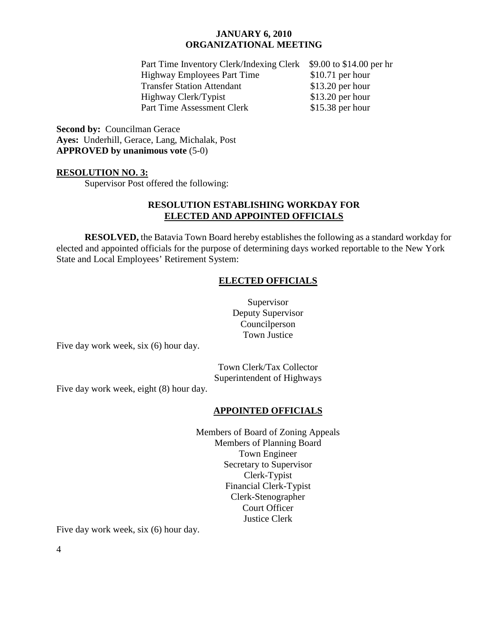Part Time Inventory Clerk/Indexing Clerk \$9.00 to \$14.00 per hr Highway Employees Part Time \$10.71 per hour Transfer Station Attendant \$13.20 per hour Highway Clerk/Typist \$13.20 per hour Part Time Assessment Clerk \$15.38 per hour

**Second by:** Councilman Gerace **Ayes:** Underhill, Gerace, Lang, Michalak, Post **APPROVED by unanimous vote** (5-0)

### **RESOLUTION NO. 3:**

Supervisor Post offered the following:

## **RESOLUTION ESTABLISHING WORKDAY FOR ELECTED AND APPOINTED OFFICIALS**

**RESOLVED,** the Batavia Town Board hereby establishes the following as a standard workday for elected and appointed officials for the purpose of determining days worked reportable to the New York State and Local Employees' Retirement System:

## **ELECTED OFFICIALS**

Supervisor Deputy Supervisor Councilperson Town Justice

Five day work week, six (6) hour day.

Town Clerk/Tax Collector Superintendent of Highways

Five day work week, eight (8) hour day.

## **APPOINTED OFFICIALS**

Members of Board of Zoning Appeals Members of Planning Board Town Engineer Secretary to Supervisor Clerk-Typist Financial Clerk-Typist Clerk-Stenographer Court Officer Justice Clerk

Five day work week, six (6) hour day.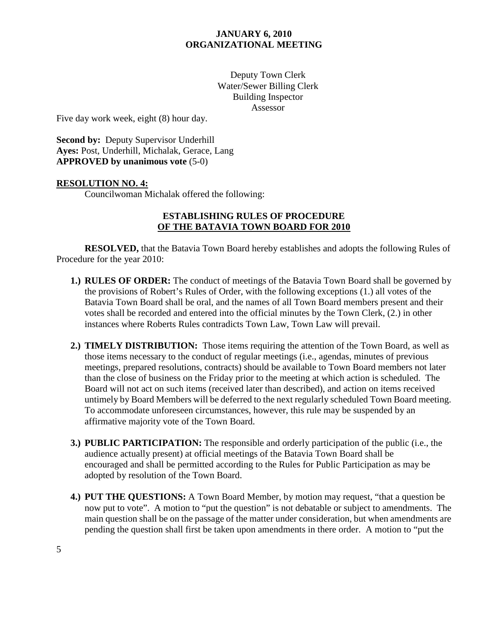Deputy Town Clerk Water/Sewer Billing Clerk Building Inspector Assessor

Five day work week, eight (8) hour day.

**Second by: Deputy Supervisor Underhill Ayes:** Post, Underhill, Michalak, Gerace, Lang **APPROVED by unanimous vote** (5-0)

## **RESOLUTION NO. 4:**

Councilwoman Michalak offered the following:

## **ESTABLISHING RULES OF PROCEDURE OF THE BATAVIA TOWN BOARD FOR 2010**

 **RESOLVED,** that the Batavia Town Board hereby establishes and adopts the following Rules of Procedure for the year 2010:

- **1.) RULES OF ORDER:** The conduct of meetings of the Batavia Town Board shall be governed by the provisions of Robert's Rules of Order, with the following exceptions (1.) all votes of the Batavia Town Board shall be oral, and the names of all Town Board members present and their votes shall be recorded and entered into the official minutes by the Town Clerk, (2.) in other instances where Roberts Rules contradicts Town Law, Town Law will prevail.
- **2.) TIMELY DISTRIBUTION:** Those items requiring the attention of the Town Board, as well as those items necessary to the conduct of regular meetings (i.e., agendas, minutes of previous meetings, prepared resolutions, contracts) should be available to Town Board members not later than the close of business on the Friday prior to the meeting at which action is scheduled. The Board will not act on such items (received later than described), and action on items received untimely by Board Members will be deferred to the next regularly scheduled Town Board meeting. To accommodate unforeseen circumstances, however, this rule may be suspended by an affirmative majority vote of the Town Board.
- **3.) PUBLIC PARTICIPATION:** The responsible and orderly participation of the public (i.e., the audience actually present) at official meetings of the Batavia Town Board shall be encouraged and shall be permitted according to the Rules for Public Participation as may be adopted by resolution of the Town Board.
- **4.) PUT THE QUESTIONS:** A Town Board Member, by motion may request, "that a question be now put to vote". A motion to "put the question" is not debatable or subject to amendments. The main question shall be on the passage of the matter under consideration, but when amendments are pending the question shall first be taken upon amendments in there order. A motion to "put the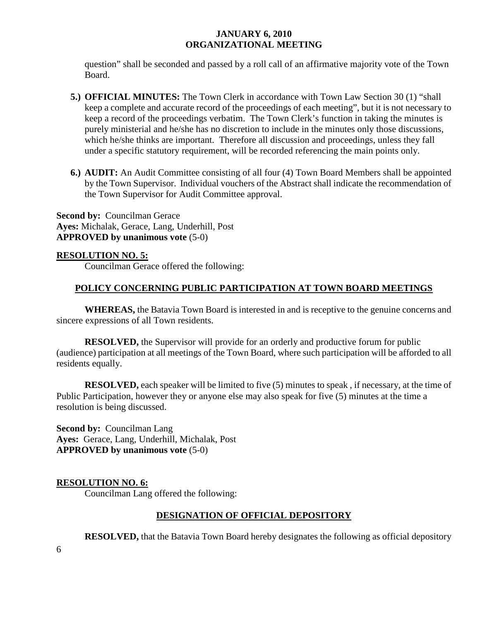question" shall be seconded and passed by a roll call of an affirmative majority vote of the Town Board.

- **5.) OFFICIAL MINUTES:** The Town Clerk in accordance with Town Law Section 30 (1) "shall keep a complete and accurate record of the proceedings of each meeting", but it is not necessary to keep a record of the proceedings verbatim. The Town Clerk's function in taking the minutes is purely ministerial and he/she has no discretion to include in the minutes only those discussions, which he/she thinks are important. Therefore all discussion and proceedings, unless they fall under a specific statutory requirement, will be recorded referencing the main points only.
- **6.) AUDIT:** An Audit Committee consisting of all four (4) Town Board Members shall be appointed by the Town Supervisor. Individual vouchers of the Abstract shall indicate the recommendation of the Town Supervisor for Audit Committee approval.

**Second by:** Councilman Gerace **Ayes:** Michalak, Gerace, Lang, Underhill, Post **APPROVED by unanimous vote** (5-0)

## **RESOLUTION NO. 5:**

Councilman Gerace offered the following:

## **POLICY CONCERNING PUBLIC PARTICIPATION AT TOWN BOARD MEETINGS**

**WHEREAS,** the Batavia Town Board is interested in and is receptive to the genuine concerns and sincere expressions of all Town residents.

**RESOLVED,** the Supervisor will provide for an orderly and productive forum for public (audience) participation at all meetings of the Town Board, where such participation will be afforded to all residents equally.

**RESOLVED,** each speaker will be limited to five (5) minutes to speak, if necessary, at the time of Public Participation, however they or anyone else may also speak for five (5) minutes at the time a resolution is being discussed.

**Second by:** Councilman Lang **Ayes:** Gerace, Lang, Underhill, Michalak, Post **APPROVED by unanimous vote** (5-0)

## **RESOLUTION NO. 6:**

Councilman Lang offered the following:

## **DESIGNATION OF OFFICIAL DEPOSITORY**

**RESOLVED,** that the Batavia Town Board hereby designates the following as official depository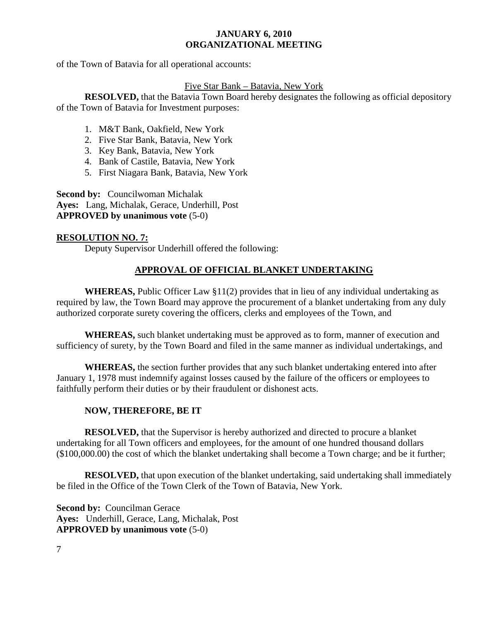of the Town of Batavia for all operational accounts:

## Five Star Bank – Batavia, New York

**RESOLVED,** that the Batavia Town Board hereby designates the following as official depository of the Town of Batavia for Investment purposes:

- 1. M&T Bank, Oakfield, New York
- 2. Five Star Bank, Batavia, New York
- 3. Key Bank, Batavia, New York
- 4. Bank of Castile, Batavia, New York
- 5. First Niagara Bank, Batavia, New York

**Second by:** Councilwoman Michalak **Ayes:** Lang, Michalak, Gerace, Underhill, Post **APPROVED by unanimous vote** (5-0)

## **RESOLUTION NO. 7:**

Deputy Supervisor Underhill offered the following:

# **APPROVAL OF OFFICIAL BLANKET UNDERTAKING**

 **WHEREAS,** Public Officer Law §11(2) provides that in lieu of any individual undertaking as required by law, the Town Board may approve the procurement of a blanket undertaking from any duly authorized corporate surety covering the officers, clerks and employees of the Town, and

**WHEREAS,** such blanket undertaking must be approved as to form, manner of execution and sufficiency of surety, by the Town Board and filed in the same manner as individual undertakings, and

**WHEREAS,** the section further provides that any such blanket undertaking entered into after January 1, 1978 must indemnify against losses caused by the failure of the officers or employees to faithfully perform their duties or by their fraudulent or dishonest acts.

# **NOW, THEREFORE, BE IT**

 **RESOLVED,** that the Supervisor is hereby authorized and directed to procure a blanket undertaking for all Town officers and employees, for the amount of one hundred thousand dollars (\$100,000.00) the cost of which the blanket undertaking shall become a Town charge; and be it further;

**RESOLVED,** that upon execution of the blanket undertaking, said undertaking shall immediately be filed in the Office of the Town Clerk of the Town of Batavia, New York.

**Second by:** Councilman Gerace **Ayes:** Underhill, Gerace, Lang, Michalak, Post **APPROVED by unanimous vote** (5-0)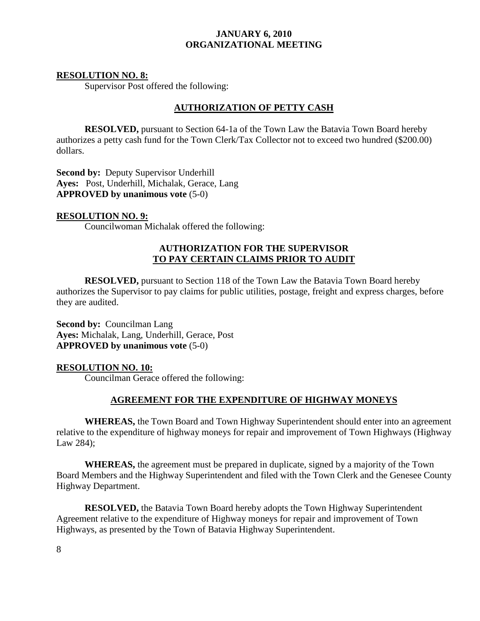## **RESOLUTION NO. 8:**

Supervisor Post offered the following:

## **AUTHORIZATION OF PETTY CASH**

 **RESOLVED,** pursuant to Section 64-1a of the Town Law the Batavia Town Board hereby authorizes a petty cash fund for the Town Clerk/Tax Collector not to exceed two hundred (\$200.00) dollars.

**Second by:** Deputy Supervisor Underhill **Ayes:** Post, Underhill, Michalak, Gerace, Lang **APPROVED by unanimous vote** (5-0)

## **RESOLUTION NO. 9:**

Councilwoman Michalak offered the following:

## **AUTHORIZATION FOR THE SUPERVISOR TO PAY CERTAIN CLAIMS PRIOR TO AUDIT**

**RESOLVED,** pursuant to Section 118 of the Town Law the Batavia Town Board hereby authorizes the Supervisor to pay claims for public utilities, postage, freight and express charges, before they are audited.

**Second by:** Councilman Lang **Ayes:** Michalak, Lang, Underhill, Gerace, Post **APPROVED by unanimous vote** (5-0)

## **RESOLUTION NO. 10:**

Councilman Gerace offered the following:

## **AGREEMENT FOR THE EXPENDITURE OF HIGHWAY MONEYS**

 **WHEREAS,** the Town Board and Town Highway Superintendent should enter into an agreement relative to the expenditure of highway moneys for repair and improvement of Town Highways (Highway Law 284);

**WHEREAS,** the agreement must be prepared in duplicate, signed by a majority of the Town Board Members and the Highway Superintendent and filed with the Town Clerk and the Genesee County Highway Department.

**RESOLVED,** the Batavia Town Board hereby adopts the Town Highway Superintendent Agreement relative to the expenditure of Highway moneys for repair and improvement of Town Highways, as presented by the Town of Batavia Highway Superintendent.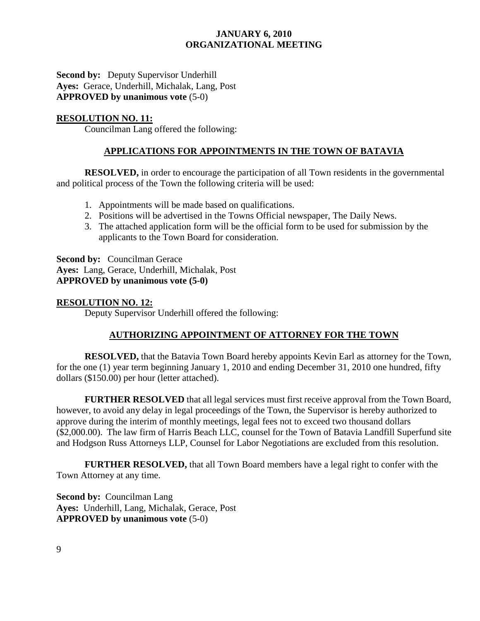**Second by:** Deputy Supervisor Underhill **Ayes:** Gerace, Underhill, Michalak, Lang, Post **APPROVED by unanimous vote** (5-0)

## **RESOLUTION NO. 11:**

Councilman Lang offered the following:

## **APPLICATIONS FOR APPOINTMENTS IN THE TOWN OF BATAVIA**

**RESOLVED,** in order to encourage the participation of all Town residents in the governmental and political process of the Town the following criteria will be used:

- 1. Appointments will be made based on qualifications.
- 2. Positions will be advertised in the Towns Official newspaper, The Daily News.
- 3. The attached application form will be the official form to be used for submission by the applicants to the Town Board for consideration.

**Second by:** Councilman Gerace **Ayes:** Lang, Gerace, Underhill, Michalak, Post **APPROVED by unanimous vote (5-0)** 

## **RESOLUTION NO. 12:**

Deputy Supervisor Underhill offered the following:

## **AUTHORIZING APPOINTMENT OF ATTORNEY FOR THE TOWN**

**RESOLVED,** that the Batavia Town Board hereby appoints Kevin Earl as attorney for the Town, for the one (1) year term beginning January 1, 2010 and ending December 31, 2010 one hundred, fifty dollars (\$150.00) per hour (letter attached).

**FURTHER RESOLVED** that all legal services must first receive approval from the Town Board, however, to avoid any delay in legal proceedings of the Town, the Supervisor is hereby authorized to approve during the interim of monthly meetings, legal fees not to exceed two thousand dollars (\$2,000.00). The law firm of Harris Beach LLC, counsel for the Town of Batavia Landfill Superfund site and Hodgson Russ Attorneys LLP, Counsel for Labor Negotiations are excluded from this resolution.

**FURTHER RESOLVED,** that all Town Board members have a legal right to confer with the Town Attorney at any time.

**Second by:** Councilman Lang **Ayes:** Underhill, Lang, Michalak, Gerace, Post **APPROVED by unanimous vote** (5-0)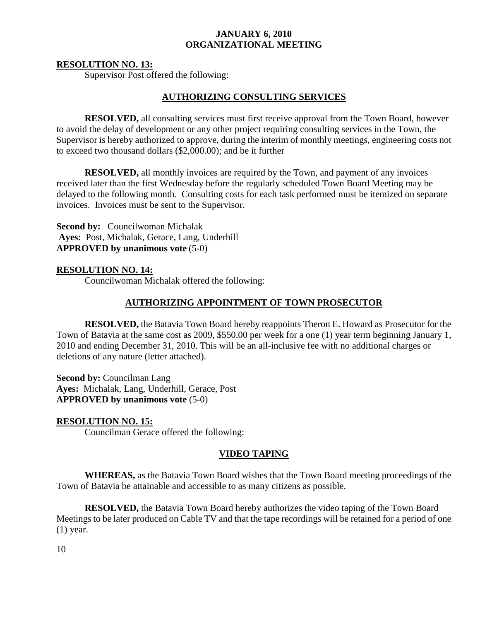#### **RESOLUTION NO. 13:**

Supervisor Post offered the following:

## **AUTHORIZING CONSULTING SERVICES**

 **RESOLVED,** all consulting services must first receive approval from the Town Board, however to avoid the delay of development or any other project requiring consulting services in the Town, the Supervisor is hereby authorized to approve, during the interim of monthly meetings, engineering costs not to exceed two thousand dollars (\$2,000.00); and be it further

**RESOLVED,** all monthly invoices are required by the Town, and payment of any invoices received later than the first Wednesday before the regularly scheduled Town Board Meeting may be delayed to the following month. Consulting costs for each task performed must be itemized on separate invoices. Invoices must be sent to the Supervisor.

**Second by:** Councilwoman Michalak **Ayes:** Post, Michalak, Gerace, Lang, Underhill **APPROVED by unanimous vote** (5-0)

## **RESOLUTION NO. 14:**

Councilwoman Michalak offered the following:

#### **AUTHORIZING APPOINTMENT OF TOWN PROSECUTOR**

**RESOLVED,** the Batavia Town Board hereby reappoints Theron E. Howard as Prosecutor for the Town of Batavia at the same cost as 2009, \$550.00 per week for a one (1) year term beginning January 1, 2010 and ending December 31, 2010. This will be an all-inclusive fee with no additional charges or deletions of any nature (letter attached).

**Second by:** Councilman Lang **Ayes:** Michalak, Lang, Underhill, Gerace, Post **APPROVED by unanimous vote** (5-0)

## **RESOLUTION NO. 15:**

Councilman Gerace offered the following:

## **VIDEO TAPING**

**WHEREAS,** as the Batavia Town Board wishes that the Town Board meeting proceedings of the Town of Batavia be attainable and accessible to as many citizens as possible.

**RESOLVED,** the Batavia Town Board hereby authorizes the video taping of the Town Board Meetings to be later produced on Cable TV and that the tape recordings will be retained for a period of one (1) year.

10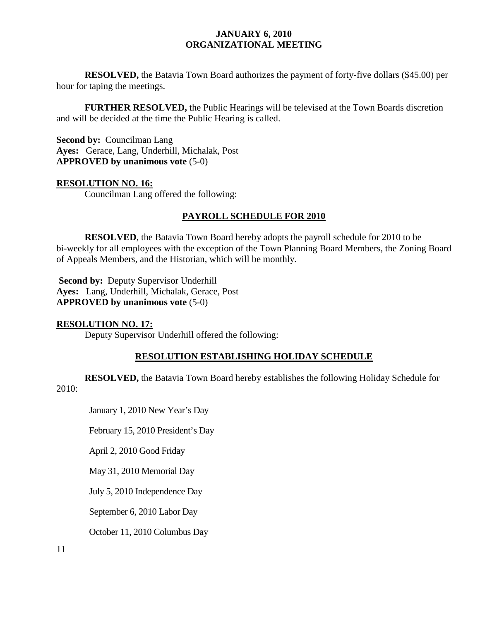**RESOLVED,** the Batavia Town Board authorizes the payment of forty-five dollars (\$45.00) per hour for taping the meetings.

**FURTHER RESOLVED,** the Public Hearings will be televised at the Town Boards discretion and will be decided at the time the Public Hearing is called.

**Second by:** Councilman Lang **Ayes:** Gerace, Lang, Underhill, Michalak, Post **APPROVED by unanimous vote** (5-0)

## **RESOLUTION NO. 16:**

Councilman Lang offered the following:

## **PAYROLL SCHEDULE FOR 2010**

**RESOLVED**, the Batavia Town Board hereby adopts the payroll schedule for 2010 to be bi-weekly for all employees with the exception of the Town Planning Board Members, the Zoning Board of Appeals Members, and the Historian, which will be monthly.

**Second by: Deputy Supervisor Underhill Ayes:** Lang, Underhill, Michalak, Gerace, Post **APPROVED by unanimous vote** (5-0)

#### **RESOLUTION NO. 17:**

Deputy Supervisor Underhill offered the following:

## **RESOLUTION ESTABLISHING HOLIDAY SCHEDULE**

**RESOLVED,** the Batavia Town Board hereby establishes the following Holiday Schedule for

#### 2010:

January 1, 2010 New Year's Day

February 15, 2010 President's Day

April 2, 2010 Good Friday

May 31, 2010 Memorial Day

July 5, 2010 Independence Day

September 6, 2010 Labor Day

October 11, 2010 Columbus Day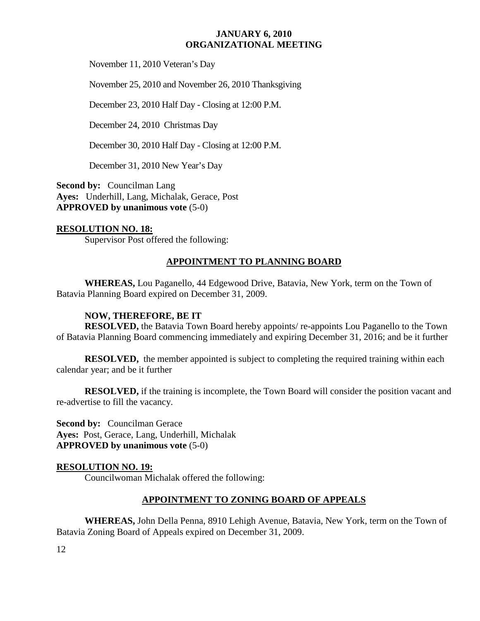November 11, 2010 Veteran's Day

November 25, 2010 and November 26, 2010 Thanksgiving

December 23, 2010 Half Day - Closing at 12:00 P.M.

December 24, 2010 Christmas Day

December 30, 2010 Half Day - Closing at 12:00 P.M.

December 31, 2010 New Year's Day

**Second by:** Councilman Lang **Ayes:** Underhill, Lang, Michalak, Gerace, Post **APPROVED by unanimous vote** (5-0)

## **RESOLUTION NO. 18:**

Supervisor Post offered the following:

## **APPOINTMENT TO PLANNING BOARD**

**WHEREAS,** Lou Paganello, 44 Edgewood Drive, Batavia, New York, term on the Town of Batavia Planning Board expired on December 31, 2009.

## **NOW, THEREFORE, BE IT**

**RESOLVED,** the Batavia Town Board hereby appoints/ re-appoints Lou Paganello to the Town of Batavia Planning Board commencing immediately and expiring December 31, 2016; and be it further

**RESOLVED,** the member appointed is subject to completing the required training within each calendar year; and be it further

**RESOLVED,** if the training is incomplete, the Town Board will consider the position vacant and re-advertise to fill the vacancy.

**Second by:** Councilman Gerace **Ayes:** Post, Gerace, Lang, Underhill, Michalak **APPROVED by unanimous vote** (5-0)

## **RESOLUTION NO. 19:**

Councilwoman Michalak offered the following:

## **APPOINTMENT TO ZONING BOARD OF APPEALS**

**WHEREAS,** John Della Penna, 8910 Lehigh Avenue, Batavia, New York, term on the Town of Batavia Zoning Board of Appeals expired on December 31, 2009.

12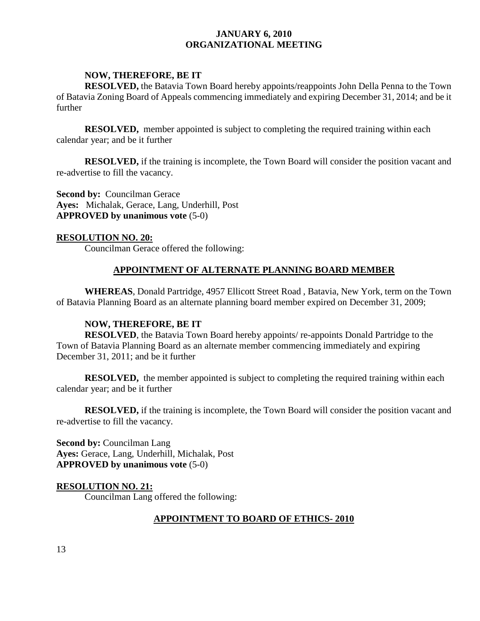## **NOW, THEREFORE, BE IT**

**RESOLVED,** the Batavia Town Board hereby appoints/reappoints John Della Penna to the Town of Batavia Zoning Board of Appeals commencing immediately and expiring December 31, 2014; and be it further

**RESOLVED,** member appointed is subject to completing the required training within each calendar year; and be it further

**RESOLVED,** if the training is incomplete, the Town Board will consider the position vacant and re-advertise to fill the vacancy.

**Second by:** Councilman Gerace **Ayes:** Michalak, Gerace, Lang, Underhill, Post **APPROVED by unanimous vote** (5-0)

## **RESOLUTION NO. 20:**

Councilman Gerace offered the following:

## **APPOINTMENT OF ALTERNATE PLANNING BOARD MEMBER**

**WHEREAS**, Donald Partridge, 4957 Ellicott Street Road , Batavia, New York, term on the Town of Batavia Planning Board as an alternate planning board member expired on December 31, 2009;

## **NOW, THEREFORE, BE IT**

**RESOLVED**, the Batavia Town Board hereby appoints/ re-appoints Donald Partridge to the Town of Batavia Planning Board as an alternate member commencing immediately and expiring December 31, 2011; and be it further

**RESOLVED,** the member appointed is subject to completing the required training within each calendar year; and be it further

**RESOLVED,** if the training is incomplete, the Town Board will consider the position vacant and re-advertise to fill the vacancy.

**Second by:** Councilman Lang **Ayes:** Gerace, Lang, Underhill, Michalak, Post **APPROVED by unanimous vote** (5-0)

## **RESOLUTION NO. 21:**

Councilman Lang offered the following:

## **APPOINTMENT TO BOARD OF ETHICS- 2010**